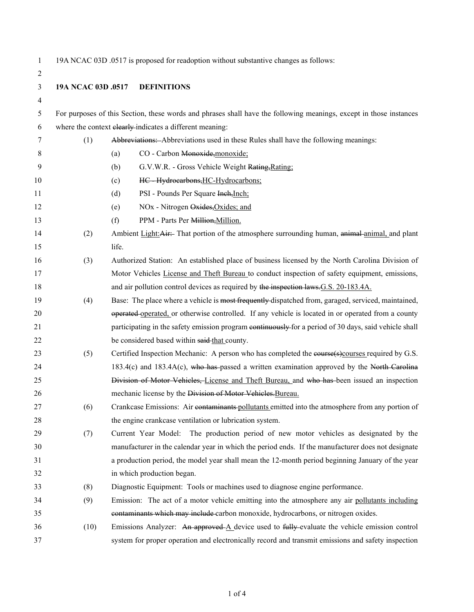1 19A NCAC 03D .0517 is proposed for readoption without substantive changes as follows:

| $\overline{2}$ |                    |                                                                                                                    |  |  |
|----------------|--------------------|--------------------------------------------------------------------------------------------------------------------|--|--|
| 3              | 19A NCAC 03D .0517 | <b>DEFINITIONS</b>                                                                                                 |  |  |
| 4              |                    |                                                                                                                    |  |  |
| 5              |                    | For purposes of this Section, these words and phrases shall have the following meanings, except in those instances |  |  |
| 6              |                    | where the context elearly-indicates a different meaning:                                                           |  |  |
| 7              | (1)                | Abbreviations: Abbreviations used in these Rules shall have the following meanings:                                |  |  |
| 8              |                    | CO - Carbon Monoxide, monoxide;<br>(a)                                                                             |  |  |
| 9              |                    | G.V.W.R. - Gross Vehicle Weight Rating, Rating:<br>(b)                                                             |  |  |
| 10             |                    | HC Hydrocarbons, HC-Hydrocarbons;<br>(c)                                                                           |  |  |
| 11             |                    | PSI - Pounds Per Square Inch, Inch;<br>(d)                                                                         |  |  |
| 12             |                    | NOx - Nitrogen Oxides, Oxides; and<br>(e)                                                                          |  |  |
| 13             |                    | (f)<br>PPM - Parts Per Million, Million.                                                                           |  |  |
| 14             | (2)                | Ambient Light: Air:- That portion of the atmosphere surrounding human, animal-animal, and plant                    |  |  |
| 15             |                    | life.                                                                                                              |  |  |
| 16             | (3)                | Authorized Station: An established place of business licensed by the North Carolina Division of                    |  |  |
| 17             |                    | Motor Vehicles License and Theft Bureau to conduct inspection of safety equipment, emissions,                      |  |  |
| 18             |                    | and air pollution control devices as required by the inspection laws. G.S. 20-183.4A.                              |  |  |
| 19             | (4)                | Base: The place where a vehicle is most frequently-dispatched from, garaged, serviced, maintained,                 |  |  |
| 20             |                    | operated operated, or otherwise controlled. If any vehicle is located in or operated from a county                 |  |  |
| 21             |                    | participating in the safety emission program continuously for a period of 30 days, said vehicle shall              |  |  |
| 22             |                    | be considered based within said-that county.                                                                       |  |  |
| 23             | (5)                | Certified Inspection Mechanic: A person who has completed the course(s)courses required by G.S.                    |  |  |
| 24             |                    | $183.4(c)$ and $183.4A(c)$ , who has passed a written examination approved by the North Carolina                   |  |  |
| 25             |                    | Division of Motor Vehicles, License and Theft Bureau, and who has been issued an inspection                        |  |  |
| 26             |                    | mechanic license by the Division of Motor Vehicles. Bureau.                                                        |  |  |
| 27             | (6)                | Crankcase Emissions: Air contaminants pollutants emitted into the atmosphere from any portion of                   |  |  |
| 28             |                    | the engine crankcase ventilation or lubrication system.                                                            |  |  |
| 29             | (7)                | Current Year Model: The production period of new motor vehicles as designated by the                               |  |  |
| 30             |                    | manufacturer in the calendar year in which the period ends. If the manufacturer does not designate                 |  |  |
| 31             |                    | a production period, the model year shall mean the 12-month period beginning January of the year                   |  |  |
| 32             |                    | in which production began.                                                                                         |  |  |
| 33             | (8)                | Diagnostic Equipment: Tools or machines used to diagnose engine performance.                                       |  |  |
| 34             | (9)                | Emission: The act of a motor vehicle emitting into the atmosphere any air pollutants including                     |  |  |
| 35             |                    | contaminants which may include carbon monoxide, hydrocarbons, or nitrogen oxides.                                  |  |  |
| 36             | (10)               | Emissions Analyzer: An approved $\Delta$ device used to fully evaluate the vehicle emission control                |  |  |
| 37             |                    | system for proper operation and electronically record and transmit emissions and safety inspection                 |  |  |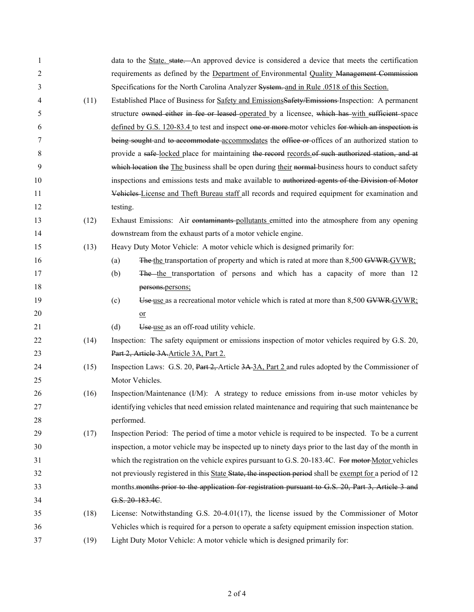| 1                |      | data to the State. state. An approved device is considered a device that meets the certification        |
|------------------|------|---------------------------------------------------------------------------------------------------------|
| $\overline{2}$   |      | requirements as defined by the Department of Environmental Quality Management Commission                |
| 3                |      | Specifications for the North Carolina Analyzer System. and in Rule .0518 of this Section.               |
| 4                | (11) | Established Place of Business for Safety and EmissionsSafety/Emissions-Inspection: A permanent          |
| 5                |      | structure owned either in fee or leased-operated by a licensee, which has with sufficient space         |
| 6                |      | defined by G.S. 120-83.4 to test and inspect one or more-motor vehicles for which an inspection is      |
| 7                |      | being sought and to accommodate accommodates the office or offices of an authorized station to          |
| 8                |      | provide a safe-locked place for maintaining the record records of such authorized station, and at       |
| $\boldsymbol{9}$ |      | which location the The business shall be open during their normal business hours to conduct safety      |
| 10               |      | inspections and emissions tests and make available to authorized agents of the Division of Motor        |
| 11               |      | Vehicles-License and Theft Bureau staff all records and required equipment for examination and          |
| 12               |      | testing.                                                                                                |
| 13               | (12) | Exhaust Emissions: Air contaminants-pollutants emitted into the atmosphere from any opening             |
| 14               |      | downstream from the exhaust parts of a motor vehicle engine.                                            |
| 15               | (13) | Heavy Duty Motor Vehicle: A motor vehicle which is designed primarily for:                              |
| 16               |      | The the transportation of property and which is rated at more than 8,500 GVWR-GVWR:<br>(a)              |
| 17               |      | The the transportation of persons and which has a capacity of more than 12<br>(b)                       |
| 18               |      | persons.persons;                                                                                        |
| 19               |      | Use use as a recreational motor vehicle which is rated at more than 8,500 GVWR.GVWR:<br>(c)             |
| 20               |      | $\overline{\text{or}}$                                                                                  |
| 21               |      | Use use as an off-road utility vehicle.<br>(d)                                                          |
| 22               | (14) | Inspection: The safety equipment or emissions inspection of motor vehicles required by G.S. 20,         |
| 23               |      | Part 2, Article 3A. Article 3A, Part 2.                                                                 |
| 24               | (15) | Inspection Laws: G.S. 20, Part 2, Article 3A 3A, Part 2 and rules adopted by the Commissioner of        |
| 25               |      | Motor Vehicles.                                                                                         |
| 26               | (16) | Inspection/Maintenance (I/M): A strategy to reduce emissions from in-use motor vehicles by              |
| 27               |      | identifying vehicles that need emission related maintenance and requiring that such maintenance be      |
| 28               |      | performed.                                                                                              |
| 29               | (17) | Inspection Period: The period of time a motor vehicle is required to be inspected. To be a current      |
| 30               |      | inspection, a motor vehicle may be inspected up to ninety days prior to the last day of the month in    |
| 31               |      | which the registration on the vehicle expires pursuant to G.S. 20-183.4C. For motor-Motor vehicles      |
| 32               |      | not previously registered in this State State, the inspection period shall be exempt for a period of 12 |
| 33               |      | months months prior to the application for registration pursuant to G.S. 20, Part 3, Article 3 and      |
| 34               |      | G.S. 20-183.4C.                                                                                         |
| 35               | (18) | License: Notwithstanding G.S. $20-4.01(17)$ , the license issued by the Commissioner of Motor           |
| 36               |      | Vehicles which is required for a person to operate a safety equipment emission inspection station.      |
| 37               | (19) | Light Duty Motor Vehicle: A motor vehicle which is designed primarily for:                              |
|                  |      |                                                                                                         |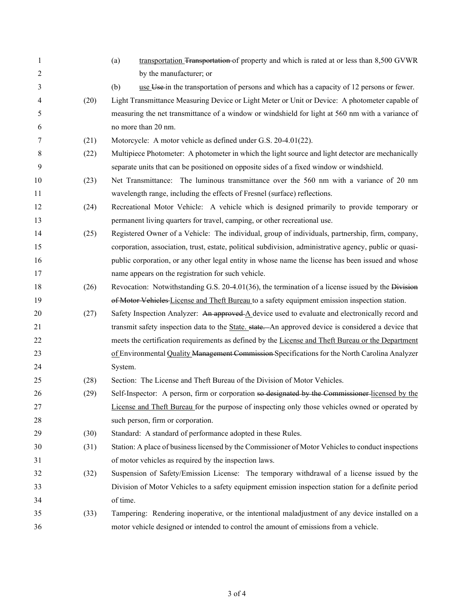| 1  |      | transportation Transportation of property and which is rated at or less than 8,500 GVWR<br>(a)          |
|----|------|---------------------------------------------------------------------------------------------------------|
| 2  |      | by the manufacturer; or                                                                                 |
| 3  |      | use Use in the transportation of persons and which has a capacity of 12 persons or fewer.<br>(b)        |
| 4  | (20) | Light Transmittance Measuring Device or Light Meter or Unit or Device: A photometer capable of          |
| 5  |      | measuring the net transmittance of a window or windshield for light at 560 nm with a variance of        |
| 6  |      | no more than 20 nm.                                                                                     |
| 7  | (21) | Motorcycle: A motor vehicle as defined under G.S. 20-4.01(22).                                          |
| 8  | (22) | Multipiece Photometer: A photometer in which the light source and light detector are mechanically       |
| 9  |      | separate units that can be positioned on opposite sides of a fixed window or windshield.                |
| 10 | (23) | Net Transmittance: The luminous transmittance over the 560 nm with a variance of 20 nm                  |
| 11 |      | wavelength range, including the effects of Fresnel (surface) reflections.                               |
| 12 | (24) | Recreational Motor Vehicle: A vehicle which is designed primarily to provide temporary or               |
| 13 |      | permanent living quarters for travel, camping, or other recreational use.                               |
| 14 | (25) | Registered Owner of a Vehicle: The individual, group of individuals, partnership, firm, company,        |
| 15 |      | corporation, association, trust, estate, political subdivision, administrative agency, public or quasi- |
| 16 |      | public corporation, or any other legal entity in whose name the license has been issued and whose       |
| 17 |      | name appears on the registration for such vehicle.                                                      |
| 18 | (26) | Revocation: Notwithstanding G.S. 20-4.01(36), the termination of a license issued by the Division       |
| 19 |      | of Motor Vehicles-License and Theft Bureau to a safety equipment emission inspection station.           |
| 20 | (27) | Safety Inspection Analyzer: An approved A device used to evaluate and electronically record and         |
| 21 |      | transmit safety inspection data to the State. state. An approved device is considered a device that     |
| 22 |      | meets the certification requirements as defined by the License and Theft Bureau or the Department       |
| 23 |      | of Environmental Quality Management Commission Specifications for the North Carolina Analyzer           |
| 24 |      | System.                                                                                                 |
| 25 | (28) | Section: The License and Theft Bureau of the Division of Motor Vehicles.                                |
| 26 | (29) | Self-Inspector: A person, firm or corporation so designated by the Commissioner-licensed by the         |
| 27 |      | License and Theft Bureau for the purpose of inspecting only those vehicles owned or operated by         |
| 28 |      | such person, firm or corporation.                                                                       |
| 29 | (30) | Standard: A standard of performance adopted in these Rules.                                             |
| 30 | (31) | Station: A place of business licensed by the Commissioner of Motor Vehicles to conduct inspections      |
| 31 |      | of motor vehicles as required by the inspection laws.                                                   |
| 32 | (32) | Suspension of Safety/Emission License: The temporary withdrawal of a license issued by the              |
| 33 |      | Division of Motor Vehicles to a safety equipment emission inspection station for a definite period      |
| 34 |      | of time.                                                                                                |
| 35 | (33) | Tampering: Rendering inoperative, or the intentional maladjustment of any device installed on a         |
| 36 |      | motor vehicle designed or intended to control the amount of emissions from a vehicle.                   |